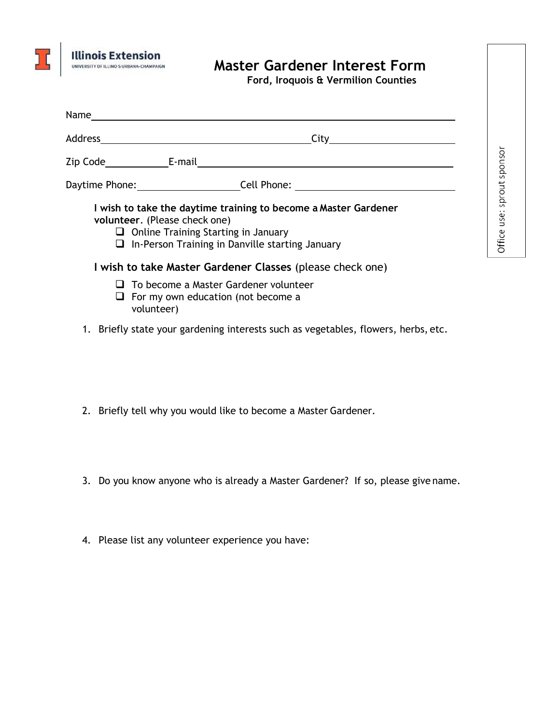

## **Master Gardener Interest Form**

**Ford, Iroquois & Vermilion Counties** 

Office use: sprout sponsor

| Daytime Phone: _________________________Cell Phone: ____________________________                                                                                                                                                                                      |
|-----------------------------------------------------------------------------------------------------------------------------------------------------------------------------------------------------------------------------------------------------------------------|
| I wish to take the daytime training to become a Master Gardener<br>volunteer. (Please check one)<br>$\Box$ Online Training Starting in January<br>$\Box$ In-Person Training in Danville starting January<br>I wish to take Master Gardener Classes (please check one) |
| $\Box$ To become a Master Gardener volunteer<br>$\Box$ For my own education (not become a<br>volunteer)                                                                                                                                                               |
| 1. Briefly state your gardening interests such as vegetables, flowers, herbs, etc.                                                                                                                                                                                    |

- 2. Briefly tell why you would like to become a Master Gardener.
- 3. Do you know anyone who is already a Master Gardener? If so, please give name.
- 4. Please list any volunteer experience you have: